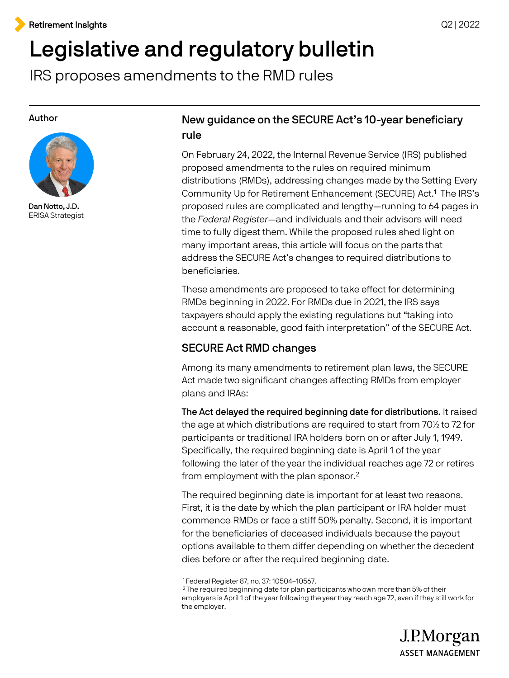# Legislative and regulatory bulletin

IRS proposes amendments to the RMD rules

#### Author



Dan Notto, J.D. ERISA Strategist

## New guidance on the SECURE Act's 10-year beneficiary rule

 On February 24, 2022, the Internal Revenue Service (IRS) published proposed amendments to the rules on required minimum distributions (RMDs), addressing changes made by the Setting Every Community Up for Retirement Enhancement (SECURE) Act.1 The IRS's proposed rules are complicated and lengthy—running to 64 pages in the Federal Register—and individuals and their advisors will need time to fully digest them. While the proposed rules shed light on many important areas, this article will focus on the parts that address the SECURE Act's changes to required distributions to beneficiaries.

 These amendments are proposed to take effect for determining RMDs beginning in 2022. For RMDs due in 2021, the IRS says taxpayers should apply the existing regulations but "taking into account a reasonable, good faith interpretation" of the SECURE Act.

## SECURE Act RMD changes

 Act made two significant changes affecting RMDs from employer Among its many amendments to retirement plan laws, the SECURE plans and IRAs:

 The Act delayed the required beginning date for distributions. It raised the age at which distributions are required to start from 70½ to 72 for participants or traditional IRA holders born on or after July 1, 1949. Specifically, the required beginning date is April 1 of the year following the later of the year the individual reaches age 72 or retires from employment with the plan sponsor.<sup>2</sup>

 The required beginning date is important for at least two reasons. First, it is the date by which the plan participant or IRA holder must commence RMDs or face a stiff 50% penalty. Second, it is important options available to them differ depending on whether the decedent for the beneficiaries of deceased individuals because the payout dies before or after the required beginning date.

 1 Federal Register 87, no. 37: 10504–10567.

<sup>&</sup>lt;sup>1</sup>Federal Register 87, no. 37: 10504–10567.<br><sup>2</sup> The required beginning date for plan participants who own more than 5% of their employers is April 1 of the year following the year they reach age 72, even if they still work for the employer.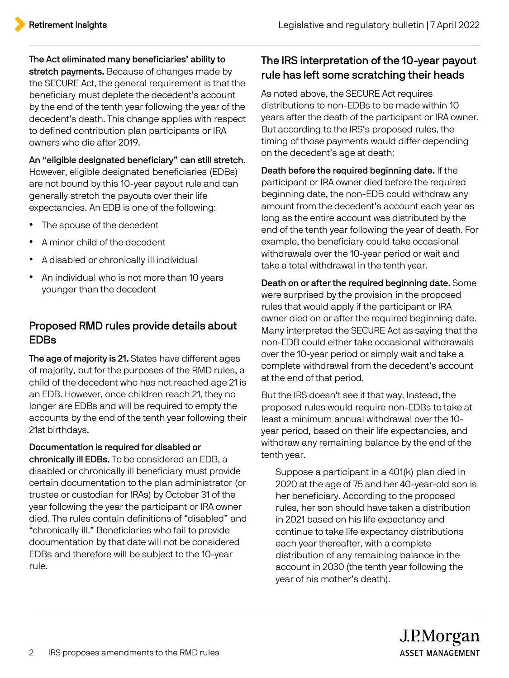The Act eliminated many beneficiaries' ability to stretch payments. Because of changes made by

 the SECURE Act, the general requirement is that the beneficiary must deplete the decedent's account by the end of the tenth year following the year of the decedent's death. This change applies with respect to defined contribution plan participants or IRA owners who die after 2019.

## An "eligible designated beneficiary" can still stretch.

 However, eligible designated beneficiaries (EDBs) are not bound by this 10-year payout rule and can generally stretch the payouts over their life expectancies. An EDB is one of the following:

- The spouse of the decedent
- A minor child of the decedent
- A disabled or chronically ill individual
- younger than the decedent • An individual who is not more than 10 years

## Proposed RMD rules provide details about EDBs

 of majority, but for the purposes of the RMD rules, a child of the decedent who has not reached age 21 is an EDB. However, once children reach 21, they no longer are EDBs and will be required to empty the accounts by the end of the tenth year following their The age of majority is 21. States have different ages 21st birthdays.

chronically ill EDBs. To be considered an EDB, a disabled or chronically ill beneficiary must provide certain documentation to the plan administrator (or trustee or custodian for IRAs) by October 31 of the year following the year the participant or IRA owner died. The rules contain definitions of "disabled" and "chronically ill." Beneficiaries who fail to provide documentation by that date will not be considered Documentation is required for disabled or EDBs and therefore will be subject to the 10-year rule.

# rule has left some scratching their heads The IRS interpretation of the 10-year payout

 As noted above, the SECURE Act requires distributions to non-EDBs to be made within 10 years after the death of the participant or IRA owner. But according to the IRS's proposed rules, the timing of those payments would differ depending on the decedent's age at death:

 participant or IRA owner died before the required beginning date, the non-EDB could withdraw any long as the entire account was distributed by the end of the tenth year following the year of death. For example, the beneficiary could take occasional withdrawals over the 10-year period or wait and take a total withdrawal in the tenth year. Death before the required beginning date. If the amount from the decedent's account each year as

 Death on or after the required beginning date. Some were surprised by the provision in the proposed rules that would apply if the participant or IRA owner died on or after the required beginning date. Many interpreted the SECURE Act as saying that the non-EDB could either take occasional withdrawals over the 10-year period or simply wait and take a complete withdrawal from the decedent's account at the end of that period.

 proposed rules would require non-EDBs to take at least a minimum annual withdrawal over the 10 year period, based on their life expectancies, and withdraw any remaining balance by the end of the But the IRS doesn't see it that way. Instead, the tenth year.

• Suppose a participant in a 401(k) plan died in 2020 at the age of 75 and her 40-year-old son is her beneficiary. According to the proposed rules, her son should have taken a distribution in 2021 based on his life expectancy and continue to take life expectancy distributions each year thereafter, with a complete distribution of any remaining balance in the account in 2030 (the tenth year following the year of his mother's death).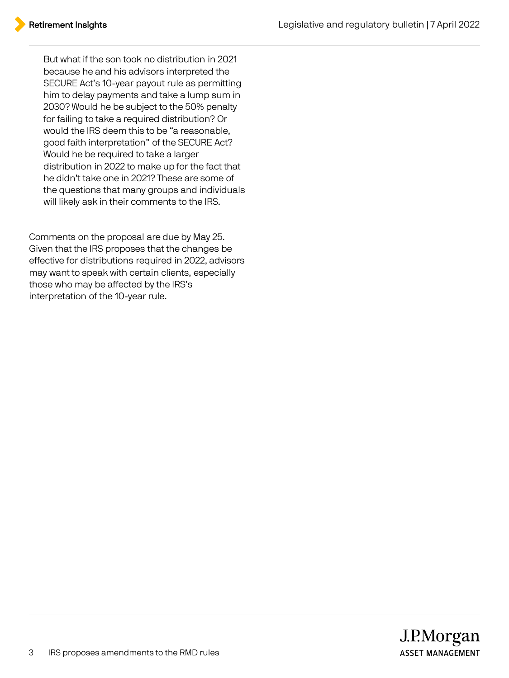• But what if the son took no distribution in 2021 because he and his advisors interpreted the SECURE Act's 10-year payout rule as permitting him to delay payments and take a lump sum in 2030? Would he be subject to the 50% penalty for failing to take a required distribution? Or would the IRS deem this to be "a reasonable, good faith interpretation" of the SECURE Act? Would he be required to take a larger distribution in 2022 to make up for the fact that the questions that many groups and individuals will likely ask in their comments to the IRS. he didn't take one in 2021? These are some of

 Comments on the proposal are due by May 25. Given that the IRS proposes that the changes be effective for distributions required in 2022, advisors may want to speak with certain clients, especially those who may be affected by the IRS's interpretation of the 10-year rule.